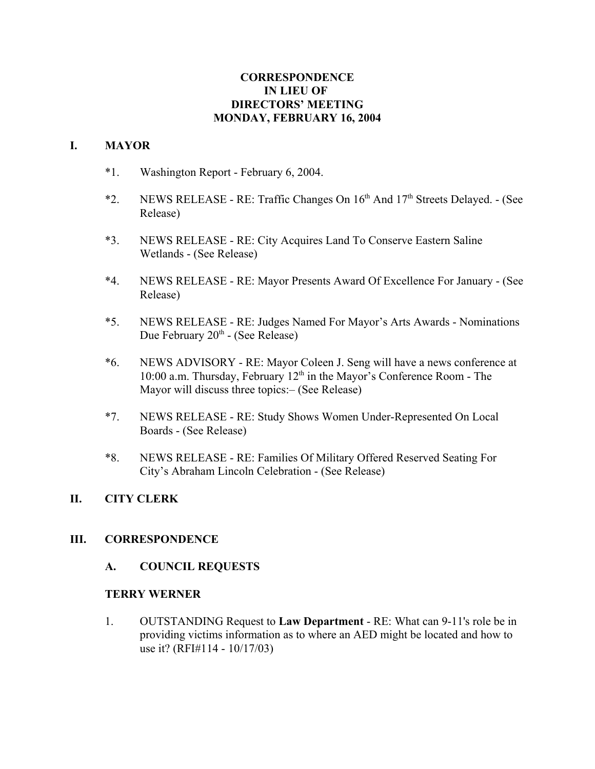## **CORRESPONDENCE IN LIEU OF DIRECTORS' MEETING MONDAY, FEBRUARY 16, 2004**

#### **I. MAYOR**

- \*1. Washington Report February 6, 2004.
- \*2. NEWS RELEASE RE: Traffic Changes On  $16<sup>th</sup>$  And  $17<sup>th</sup>$  Streets Delayed. (See Release)
- \*3. NEWS RELEASE RE: City Acquires Land To Conserve Eastern Saline Wetlands - (See Release)
- \*4. NEWS RELEASE RE: Mayor Presents Award Of Excellence For January (See Release)
- \*5. NEWS RELEASE RE: Judges Named For Mayor's Arts Awards Nominations Due February 20<sup>th</sup> - (See Release)
- \*6. NEWS ADVISORY RE: Mayor Coleen J. Seng will have a news conference at 10:00 a.m. Thursday, February  $12<sup>th</sup>$  in the Mayor's Conference Room - The Mayor will discuss three topics:– (See Release)
- \*7. NEWS RELEASE RE: Study Shows Women Under-Represented On Local Boards - (See Release)
- \*8. NEWS RELEASE RE: Families Of Military Offered Reserved Seating For City's Abraham Lincoln Celebration - (See Release)

## **II. CITY CLERK**

## **III. CORRESPONDENCE**

## **A. COUNCIL REQUESTS**

#### **TERRY WERNER**

1. OUTSTANDING Request to **Law Department** - RE: What can 9-11's role be in providing victims information as to where an AED might be located and how to use it? (RFI#114 - 10/17/03)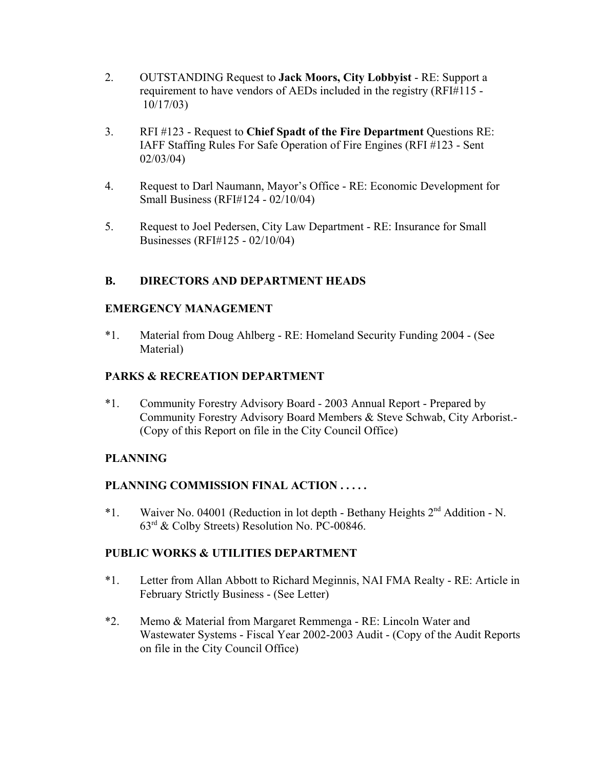- 2. OUTSTANDING Request to **Jack Moors, City Lobbyist** RE: Support a requirement to have vendors of AEDs included in the registry (RFI#115 - 10/17/03)
- 3. RFI #123 Request to **Chief Spadt of the Fire Department** Questions RE: IAFF Staffing Rules For Safe Operation of Fire Engines (RFI #123 - Sent 02/03/04)
- 4. Request to Darl Naumann, Mayor's Office RE: Economic Development for Small Business (RFI#124 - 02/10/04)
- 5. Request to Joel Pedersen, City Law Department RE: Insurance for Small Businesses (RFI#125 - 02/10/04)

# **B. DIRECTORS AND DEPARTMENT HEADS**

## **EMERGENCY MANAGEMENT**

\*1. Material from Doug Ahlberg - RE: Homeland Security Funding 2004 - (See Material)

## **PARKS & RECREATION DEPARTMENT**

\*1. Community Forestry Advisory Board - 2003 Annual Report - Prepared by Community Forestry Advisory Board Members & Steve Schwab, City Arborist.- (Copy of this Report on file in the City Council Office)

## **PLANNING**

## **PLANNING COMMISSION FINAL ACTION . . . . .**

\*1. Waiver No. 04001 (Reduction in lot depth - Bethany Heights 2nd Addition - N. 63rd & Colby Streets) Resolution No. PC-00846.

## **PUBLIC WORKS & UTILITIES DEPARTMENT**

- \*1. Letter from Allan Abbott to Richard Meginnis, NAI FMA Realty RE: Article in February Strictly Business - (See Letter)
- \*2. Memo & Material from Margaret Remmenga RE: Lincoln Water and Wastewater Systems - Fiscal Year 2002-2003 Audit - (Copy of the Audit Reports on file in the City Council Office)